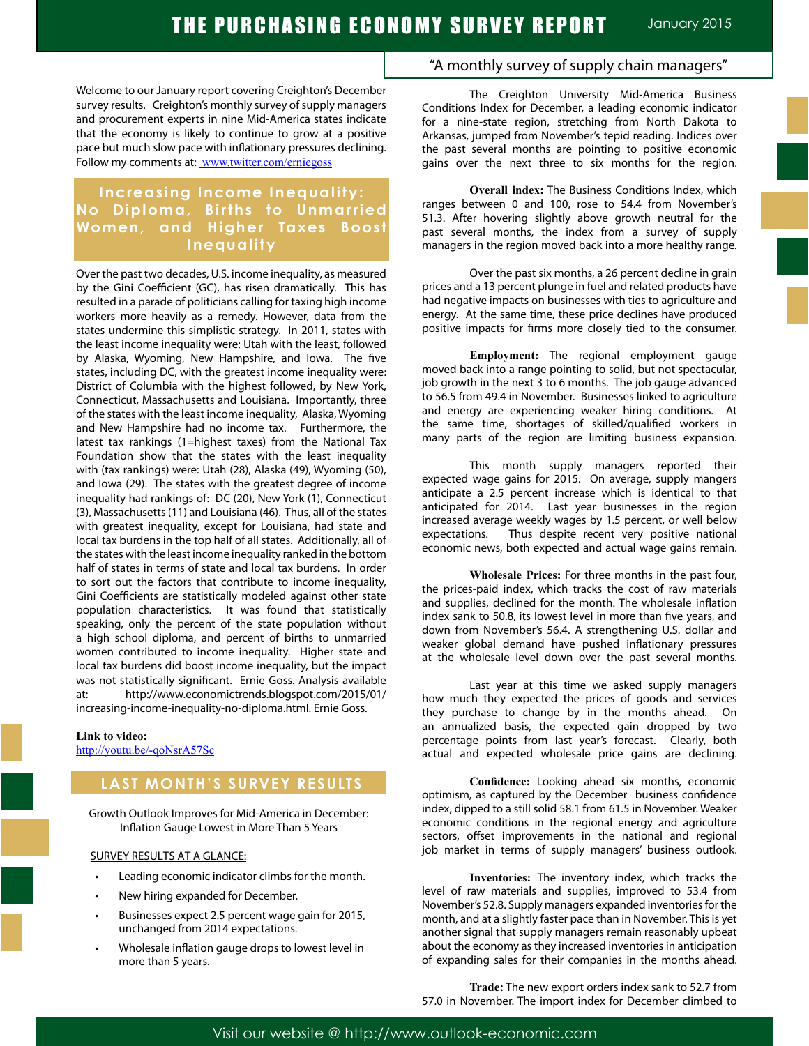Welcome to our January report covering Creighton's December survey results. Creighton's monthly survey of supply managers and procurement experts in nine Mid-America states indicate that the economy is likely to continue to grow at a positive pace but much slow pace with inflationary pressures declining. Follow my comments at: www.twitter.com/erniegoss

## **Increasing Income Inequality: No Diploma, Births to Unmarried Women, and Higher Taxes Boost Inequality**

Over the past two decades, U.S. income inequality, as measured by the Gini Coefficient (GC), has risen dramatically. This has resulted in a parade of politicians calling for taxing high income workers more heavily as a remedy. However, data from the states undermine this simplistic strategy. In 2011, states with the least income inequality were: Utah with the least, followed by Alaska, Wyoming, New Hampshire, and Iowa. The five states, including DC, with the greatest income inequality were: District of Columbia with the highest followed, by New York, Connecticut, Massachusetts and Louisiana. Importantly, three of the states with the least income inequality, Alaska, Wyoming and New Hampshire had no income tax. Furthermore, the latest tax rankings (1=highest taxes) from the National Tax Foundation show that the states with the least inequality with (tax rankings) were: Utah (28), Alaska (49), Wyoming (50), and Iowa (29). The states with the greatest degree of income inequality had rankings of: DC (20), New York (1), Connecticut (3), Massachusetts (11) and Louisiana (46). Thus, all of the states with greatest inequality, except for Louisiana, had state and local tax burdens in the top half of all states. Additionally, all of the states with the least income inequality ranked in the bottom half of states in terms of state and local tax burdens. In order to sort out the factors that contribute to income inequality, Gini Coefficients are statistically modeled against other state population characteristics. It was found that statistically speaking, only the percent of the state population without a high school diploma, and percent of births to unmarried women contributed to income inequality. Higher state and local tax burdens did boost income inequality, but the impact was not statistically significant. Ernie Goss. Analysis available at: http://www.economictrends.blogspot.com/2015/01/ increasing-income-inequality-no-diploma.html. Ernie Goss.

#### **Link to video:**

http://youtu.be/-qoNsrA57Sc

## **LAST MONTH'S SURVEY RESULTS**

Growth Outlook Improves for Mid-America in December: Inflation Gauge Lowest in More Than 5 Years

#### SURVEY RESULTS AT A GLANCE:

- Leading economic indicator climbs for the month.
- New hiring expanded for December.
- Businesses expect 2.5 percent wage gain for 2015, unchanged from 2014 expectations.
- Wholesale inflation gauge drops to lowest level in more than 5 years.

## "A monthly survey of supply chain managers"

The Creighton University Mid-America Business Conditions Index for December, a leading economic indicator for a nine-state region, stretching from North Dakota to Arkansas, jumped from November's tepid reading. Indices over the past several months are pointing to positive economic gains over the next three to six months for the region.

**Overall index:** The Business Conditions Index, which ranges between 0 and 100, rose to 54.4 from November's 51.3. After hovering slightly above growth neutral for the past several months, the index from a survey of supply managers in the region moved back into a more healthy range.

Over the past six months, a 26 percent decline in grain prices and a 13 percent plunge in fuel and related products have had negative impacts on businesses with ties to agriculture and energy. At the same time, these price declines have produced positive impacts for firms more closely tied to the consumer.

**Employment:** The regional employment gauge moved back into a range pointing to solid, but not spectacular, job growth in the next 3 to 6 months. The job gauge advanced to 56.5 from 49.4 in November. Businesses linked to agriculture and energy are experiencing weaker hiring conditions. At the same time, shortages of skilled/qualified workers in many parts of the region are limiting business expansion.

This month supply managers reported their expected wage gains for 2015. On average, supply mangers anticipate a 2.5 percent increase which is identical to that anticipated for 2014. Last year businesses in the region increased average weekly wages by 1.5 percent, or well below expectations. Thus despite recent very positive national economic news, both expected and actual wage gains remain.

**Wholesale Prices:** For three months in the past four, the prices-paid index, which tracks the cost of raw materials and supplies, declined for the month. The wholesale inflation index sank to 50.8, its lowest level in more than five years, and down from November's 56.4. A strengthening U.S. dollar and weaker global demand have pushed inflationary pressures at the wholesale level down over the past several months.

Last year at this time we asked supply managers how much they expected the prices of goods and services they purchase to change by in the months ahead. On an annualized basis, the expected gain dropped by two percentage points from last year's forecast. Clearly, both actual and expected wholesale price gains are declining.

**Confidence:** Looking ahead six months, economic optimism, as captured by the December business confidence index, dipped to a still solid 58.1 from 61.5 in November. Weaker economic conditions in the regional energy and agriculture sectors, offset improvements in the national and regional job market in terms of supply managers' business outlook.

**Inventories:** The inventory index, which tracks the level of raw materials and supplies, improved to 53.4 from November's 52.8. Supply managers expanded inventories for the month, and at a slightly faster pace than in November. This is yet another signal that supply managers remain reasonably upbeat about the economy as they increased inventories in anticipation of expanding sales for their companies in the months ahead.

**Trade:** The new export orders index sank to 52.7 from 57.0 in November. The import index for December climbed to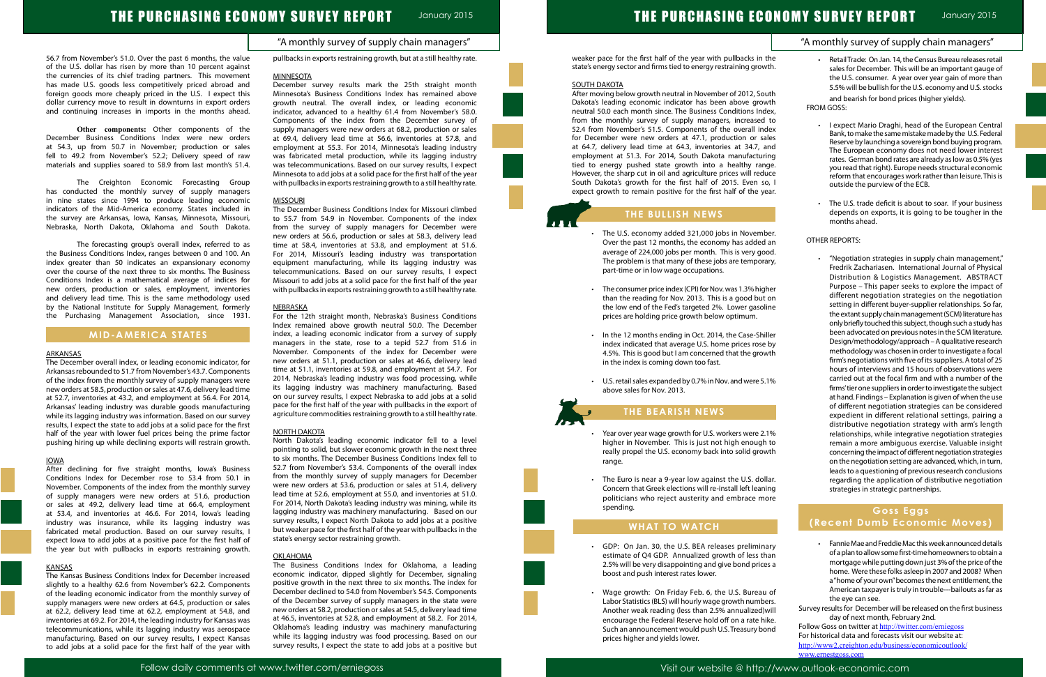## "A monthly survey of supply chain managers"

56.7 from November's 51.0. Over the past 6 months, the value of the U.S. dollar has risen by more than 10 percent against the currencies of its chief trading partners. This movement has made U.S. goods less competitively priced abroad and foreign goods more cheaply priced in the U.S. I expect this dollar currency move to result in downturns in export orders and continuing increases in imports in the months ahead.

**Other components:** Other components of the December Business Conditions Index were new orders at 54.3, up from 50.7 in November; production or sales fell to 49.2 from November's 52.2; Delivery speed of raw materials and supplies soared to 58.9 from last month's 51.4.

The Creighton Economic Forecasting Group has conducted the monthly survey of supply managers in nine states since 1994 to produce leading economic indicators of the Mid-America economy. States included in the survey are Arkansas, Iowa, Kansas, Minnesota, Missouri, Nebraska, North Dakota, Oklahoma and South Dakota.

The forecasting group's overall index, referred to as the Business Conditions Index, ranges between 0 and 100. An index greater than 50 indicates an expansionary economy over the course of the next three to six months. The Business Conditions Index is a mathematical average of indices for new orders, production or sales, employment, inventories and delivery lead time. This is the same methodology used by the National Institute for Supply Management, formerly the Purchasing Management Association, since 1931.

## **MID-AMERICA STATES**

### ARKANSAS

The December overall index, or leading economic indicator, for Arkansas rebounded to 51.7 from November's 43.7. Components of the index from the monthly survey of supply managers were new orders at 58.5, production or sales at 47.6, delivery lead time at 52.7, inventories at 43.2, and employment at 56.4. For 2014, Arkansas' leading industry was durable goods manufacturing while its lagging industry was information. Based on our survey results, I expect the state to add jobs at a solid pace for the first half of the year with lower fuel prices being the prime factor pushing hiring up while declining exports will restrain growth.

#### IOWA

After declining for five straight months, Iowa's Business Conditions Index for December rose to 53.4 from 50.1 in November. Components of the index from the monthly survey of supply managers were new orders at 51.6, production or sales at 49.2, delivery lead time at 66.4, employment at 53.4, and inventories at 46.6. For 2014, Iowa's leading industry was insurance, while its lagging industry was fabricated metal production. Based on our survey results, I expect Iowa to add jobs at a positive pace for the first half of the year but with pullbacks in exports restraining growth.

#### KANSAS

The Kansas Business Conditions Index for December increased slightly to a healthy 62.6 from November's 62.2. Components of the leading economic indicator from the monthly survey of supply managers were new orders at 64.5, production or sales at 62.2, delivery lead time at 62.2, employment at 54.8, and inventories at 69.2. For 2014, the leading industry for Kansas was telecommunications, while its lagging industry was aerospace manufacturing. Based on our survey results, I expect Kansas to add jobs at a solid pace for the first half of the year with pullbacks in exports restraining growth, but at a still healthy rate.

#### MINNESOTA

December survey results mark the 25th straight month Minnesota's Business Conditions Index has remained above growth neutral. The overall index, or leading economic indicator, advanced to a healthy 61.4 from November's 58.0. Components of the index from the December survey of supply managers were new orders at 68.2, production or sales at 69.4, delivery lead time at 56.6, inventories at 57.8, and employment at 55.3. For 2014, Minnesota's leading industry was fabricated metal production, while its lagging industry was telecommunications. Based on our survey results, I expect Minnesota to add jobs at a solid pace for the first half of the year with pullbacks in exports restraining growth to a still healthy rate.

- The U.S. economy added 321,000 jobs in Novemb Over the past 12 months, the economy has added average of 224,000 jobs per month. This is very good The problem is that many of these jobs are temporary part-time or in low wage occupations.
- $\cdot$  The consumer price index (CPI) for Nov. was 1.3% high than the reading for Nov. 2013. This is a good but the low end of the Fed's targeted 2%. Lower gasoli prices are holding price growth below optimum.
- In the 12 months ending in Oct. 2014, the Case-Shi index indicated that average U.S. home prices rose 4.5%. This is good but I am concerned that the grov in the index is coming down too fast.
- U.S. retail sales expanded by 0.7% in Nov. and were 5. above sales for Nov. 2013.

#### MISSOURI

- Year over year wage growth for U.S. workers were 2. higher in November. This is just not high enough really propel the U.S. economy back into solid grov range.
- The Euro is near a 9-year low against the U.S. dol Concern that Greek elections will re-install left leani politicians who reject austerity and embrace mo spending.

The December Business Conditions Index for Missouri climbed to 55.7 from 54.9 in November. Components of the index from the survey of supply managers for December were new orders at 56.6, production or sales at 58.3, delivery lead time at 58.4, inventories at 53.8, and employment at 51.6. For 2014, Missouri's leading industry was transportation equipment manufacturing, while its lagging industry was telecommunications. Based on our survey results, I expect Missouri to add jobs at a solid pace for the first half of the year with pullbacks in exports restraining growth to a still healthy rate.

#### **NEBRASKA**

- GDP: On Jan. 30, the U.S. BEA releases prelimina estimate of Q4 GDP. Annualized growth of less th 2.5% will be very disappointing and give bond price boost and push interest rates lower.
- Wage growth: On Friday Feb. 6, the U.S. Bureau Labor Statistics (BLS) will hourly wage growth numbe Another weak reading (less than 2.5% annualized) encourage the Federal Reserve hold off on a rate hi Such an announcement would push U.S. Treasury bo prices higher and yields lower.

For the 12th straight month, Nebraska's Business Conditions Index remained above growth neutral 50.0. The December index, a leading economic indicator from a survey of supply managers in the state, rose to a tepid 52.7 from 51.6 in November. Components of the index for December were new orders at 51.1, production or sales at 46.6, delivery lead time at 51.1, inventories at 59.8, and employment at 54.7. For 2014, Nebraska's leading industry was food processing, while its lagging industry was machinery manufacturing. Based on our survey results, I expect Nebraska to add jobs at a solid pace for the first half of the year with pullbacks in the export of agriculture commodities restraining growth to a still healthy rate.

#### NORTH DAKOTA

North Dakota's leading economic indicator fell to a level pointing to solid, but slower economic growth in the next three to six months. The December Business Conditions Index fell to 52.7 from November's 53.4. Components of the overall index from the monthly survey of supply managers for December were new orders at 53.6, production or sales at 51.4, delivery lead time at 52.6, employment at 55.0, and inventories at 51.0. For 2014, North Dakota's leading industry was mining, while its lagging industry was machinery manufacturing. Based on our survey results, I expect North Dakota to add jobs at a positive but weaker pace for the first half of the year with pullbacks in the state's energy sector restraining growth.

|                                                                | "A monthly survey of supply chain managers"                                                                                                                                                                                                                                                                                                                                                                                                       |  |
|----------------------------------------------------------------|---------------------------------------------------------------------------------------------------------------------------------------------------------------------------------------------------------------------------------------------------------------------------------------------------------------------------------------------------------------------------------------------------------------------------------------------------|--|
| the<br>vth.<br>uth                                             | Retail Trade: On Jan. 14, the Census Bureau releases retail<br>sales for December. This will be an important gauge of<br>the U.S. consumer. A year over year gain of more than<br>5.5% will be bullish for the U.S. economy and U.S. stocks                                                                                                                                                                                                       |  |
| wth<br>lex,                                                    | and bearish for bond prices (higher yields).<br><b>FROM GOSS:</b>                                                                                                                                                                                                                                                                                                                                                                                 |  |
| to<br>dex<br>ales<br>and<br>ing<br>ıge.<br>uce<br>o, I<br>ear. | I expect Mario Draghi, head of the European Central<br>Bank, to make the same mistake made by the U.S. Federal<br>Reserve by launching a sovereign bond buying program.<br>The European economy does not need lower interest<br>rates. German bond rates are already as low as 0.5% (yes<br>you read that right). Europe needs structural economic<br>reform that encourages work rather than leisure. This is<br>outside the purview of the ECB. |  |
|                                                                | The U.S. trade deficit is about to soar. If your business<br>۰<br>depends on exports, it is going to be tougher in the<br>months ahead.                                                                                                                                                                                                                                                                                                           |  |
| ber.<br>l an                                                   | OTHER REPORTS:                                                                                                                                                                                                                                                                                                                                                                                                                                    |  |
| od.<br>ary,                                                    | "Negotiation strategies in supply chain management,"<br>Fredrik Zachariasen. International Journal of Physical<br>Distribution & Logistics Management. ABSTRACT<br>Purpose - This paper seeks to explore the impact of                                                                                                                                                                                                                            |  |
| her<br>on<br>line                                              | different negotiation strategies on the negotiation<br>setting in different buyer-supplier relationships. So far,<br>the extant supply chain management (SCM) literature has<br>only briefly touched this subject, though such a study has                                                                                                                                                                                                        |  |
| iller<br>: by<br>wth                                           | been advocated on previous notes in the SCM literature.<br>Design/methodology/approach - A qualitative research<br>methodology was chosen in order to investigate a focal<br>firm's negotiations with five of its suppliers. A total of 25                                                                                                                                                                                                        |  |
| .1%                                                            | hours of interviews and 15 hours of observations were<br>carried out at the focal firm and with a number of the<br>firms' tier one suppliers in order to investigate the subject<br>at hand. Findings - Explanation is given of when the use                                                                                                                                                                                                      |  |
|                                                                | of different negotiation strategies can be considered<br>expedient in different relational settings, pairing a<br>distributive negotiation strategy with arm's length                                                                                                                                                                                                                                                                             |  |
| .1%<br>to ו<br>wth                                             | relationships, while integrative negotiation strategies<br>remain a more ambiguous exercise. Valuable insight<br>concerning the impact of different negotiation strategies<br>on the negotiation setting are advanced, which, in turn,<br>leads to a questioning of previous research conclusions                                                                                                                                                 |  |
| llar.<br>ing<br>ore                                            | regarding the application of distributive negotiation<br>strategies in strategic partnerships.                                                                                                                                                                                                                                                                                                                                                    |  |
|                                                                | Goss Eggs<br>(Recent Dumb Economic Moves)                                                                                                                                                                                                                                                                                                                                                                                                         |  |
| ary<br>าan<br>es a                                             | Fannie Mae and Freddie Mac this week announced details<br>of a plan to allow some first-time homeowners to obtain a<br>mortgage while putting down just 3% of the price of the<br>home. Were these folks asleep in 2007 and 2008? When<br>a "home of your own" becomes the next entitlement, the                                                                                                                                                  |  |
| ı of<br>ers.<br>will<br>ike.<br>ond                            | American taxpayer is truly in trouble---bailouts as far as<br>the eye can see.<br>Survey results for December will be released on the first business<br>day of next month, February 2nd.<br>Follow Goss on twitter at http://twitter.com/erniegoss                                                                                                                                                                                                |  |
|                                                                | For historical data and forecasts visit our website at:                                                                                                                                                                                                                                                                                                                                                                                           |  |

www.ernestgoss.com

#### OKLAHOMA

The Business Conditions Index for Oklahoma, a leading economic indicator, dipped slightly for December, signaling positive growth in the next three to six months. The index for December declined to 54.0 from November's 54.5. Components of the December survey of supply managers in the state were new orders at 58.2, production or sales at 54.5, delivery lead time at 46.5, inventories at 52.8, and employment at 58.2. For 2014, Oklahoma's leading industry was machinery manufacturing while its lagging industry was food processing. Based on our survey results, I expect the state to add jobs at a positive but

weaker pace for the first half of the year with pullbacks in state's energy sector and firms tied to energy restraining grow

### SOUTH DAKOTA

After moving below growth neutral in November of 2012, Sou Dakota's leading economic indicator has been above grov neutral 50.0 each month since. The Business Conditions Ind from the monthly survey of supply managers, increased 52.4 from November's 51.5. Components of the overall ind for December were new orders at 47.1, production or sal at 64.7, delivery lead time at 64.3, inventories at 34.7, and employment at 51.3. For 2014, South Dakota manufacturi tied to energy pushed state growth into a healthy ran However, the sharp cut in oil and agriculture prices will redu South Dakota's growth for the first half of 2015. Even so expect growth to remain positive for the first half of the ye

## **THE BULLISH NEWS**

# **THE BEARISH NEWS**

## **WHAT TO WATCH**

http://www2.creighton.edu/business/economicoutlook/